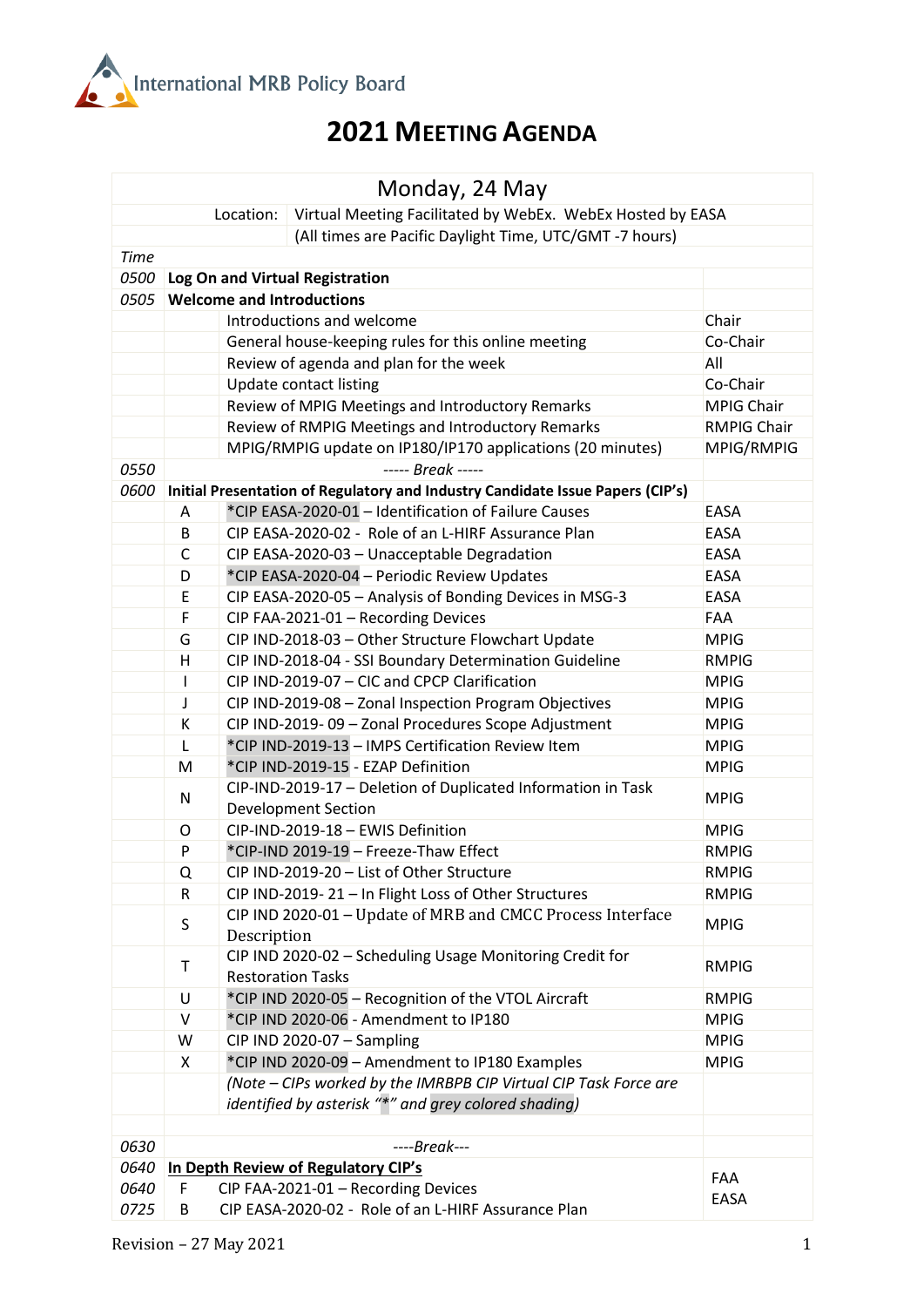

## **2021 MEETING AGENDA**

| Monday, 24 May                                                          |                                                                  |                                                                                                          |                             |  |  |
|-------------------------------------------------------------------------|------------------------------------------------------------------|----------------------------------------------------------------------------------------------------------|-----------------------------|--|--|
| Virtual Meeting Facilitated by WebEx. WebEx Hosted by EASA<br>Location: |                                                                  |                                                                                                          |                             |  |  |
| (All times are Pacific Daylight Time, UTC/GMT-7 hours)                  |                                                                  |                                                                                                          |                             |  |  |
| <b>Time</b>                                                             |                                                                  |                                                                                                          |                             |  |  |
| 0500                                                                    | Log On and Virtual Registration                                  |                                                                                                          |                             |  |  |
| 0505                                                                    |                                                                  | <b>Welcome and Introductions</b>                                                                         |                             |  |  |
|                                                                         |                                                                  | Introductions and welcome<br>Chair                                                                       |                             |  |  |
|                                                                         |                                                                  | General house-keeping rules for this online meeting                                                      | Co-Chair<br>All             |  |  |
|                                                                         |                                                                  | Review of agenda and plan for the week                                                                   |                             |  |  |
|                                                                         |                                                                  | Update contact listing                                                                                   | Co-Chair                    |  |  |
|                                                                         |                                                                  | Review of MPIG Meetings and Introductory Remarks                                                         | <b>MPIG Chair</b>           |  |  |
|                                                                         |                                                                  | Review of RMPIG Meetings and Introductory Remarks                                                        | RMPIG Chair                 |  |  |
|                                                                         |                                                                  | MPIG/RMPIG update on IP180/IP170 applications (20 minutes)<br>MPIG/RMPIG                                 |                             |  |  |
| 0550                                                                    |                                                                  | ----- Break -----                                                                                        |                             |  |  |
| 0600                                                                    |                                                                  | Initial Presentation of Regulatory and Industry Candidate Issue Papers (CIP's)                           |                             |  |  |
|                                                                         | A                                                                | *CIP EASA-2020-01 - Identification of Failure Causes                                                     | EASA                        |  |  |
|                                                                         | B                                                                | CIP EASA-2020-02 - Role of an L-HIRF Assurance Plan                                                      | <b>EASA</b>                 |  |  |
|                                                                         | $\mathsf C$                                                      | CIP EASA-2020-03 - Unacceptable Degradation                                                              | <b>EASA</b>                 |  |  |
|                                                                         | D                                                                | *CIP EASA-2020-04 - Periodic Review Updates                                                              | <b>EASA</b>                 |  |  |
|                                                                         | E                                                                | CIP EASA-2020-05 - Analysis of Bonding Devices in MSG-3                                                  | EASA                        |  |  |
|                                                                         | F                                                                | CIP FAA-2021-01 - Recording Devices                                                                      | <b>FAA</b>                  |  |  |
|                                                                         | G                                                                | CIP IND-2018-03 - Other Structure Flowchart Update                                                       | <b>MPIG</b>                 |  |  |
|                                                                         | H                                                                | CIP IND-2018-04 - SSI Boundary Determination Guideline                                                   | <b>RMPIG</b>                |  |  |
|                                                                         | $\mathsf{I}$                                                     | CIP IND-2019-07 - CIC and CPCP Clarification                                                             | <b>MPIG</b>                 |  |  |
|                                                                         | J                                                                | CIP IND-2019-08 - Zonal Inspection Program Objectives                                                    | <b>MPIG</b>                 |  |  |
|                                                                         | К                                                                | CIP IND-2019-09 - Zonal Procedures Scope Adjustment<br>*CIP IND-2019-13 - IMPS Certification Review Item | <b>MPIG</b>                 |  |  |
|                                                                         | L<br>M                                                           | *CIP IND-2019-15 - EZAP Definition                                                                       | <b>MPIG</b><br><b>MPIG</b>  |  |  |
|                                                                         |                                                                  |                                                                                                          |                             |  |  |
|                                                                         | N                                                                | CIP-IND-2019-17 - Deletion of Duplicated Information in Task                                             | <b>MPIG</b>                 |  |  |
|                                                                         | O                                                                | <b>Development Section</b><br>CIP-IND-2019-18 - EWIS Definition                                          |                             |  |  |
|                                                                         | P                                                                | *CIP-IND 2019-19 - Freeze-Thaw Effect                                                                    | <b>MPIG</b><br><b>RMPIG</b> |  |  |
|                                                                         | Q                                                                | CIP IND-2019-20 - List of Other Structure                                                                | <b>RMPIG</b>                |  |  |
|                                                                         | $\mathsf R$                                                      | CIP IND-2019-21 - In Flight Loss of Other Structures                                                     | <b>RMPIG</b>                |  |  |
|                                                                         |                                                                  | CIP IND 2020-01 - Update of MRB and CMCC Process Interface                                               |                             |  |  |
|                                                                         | S                                                                | Description                                                                                              | <b>MPIG</b>                 |  |  |
|                                                                         |                                                                  | CIP IND 2020-02 - Scheduling Usage Monitoring Credit for                                                 |                             |  |  |
|                                                                         | $\sf T$                                                          | <b>Restoration Tasks</b>                                                                                 | <b>RMPIG</b>                |  |  |
|                                                                         | U                                                                | *CIP IND 2020-05 - Recognition of the VTOL Aircraft                                                      | <b>RMPIG</b>                |  |  |
|                                                                         | $\mathsf{V}$                                                     | *CIP IND 2020-06 - Amendment to IP180                                                                    | <b>MPIG</b>                 |  |  |
|                                                                         | W                                                                | CIP IND 2020-07 - Sampling                                                                               | <b>MPIG</b>                 |  |  |
|                                                                         | X                                                                | *CIP IND 2020-09 - Amendment to IP180 Examples                                                           | <b>MPIG</b>                 |  |  |
|                                                                         |                                                                  | (Note - CIPs worked by the IMRBPB CIP Virtual CIP Task Force are                                         |                             |  |  |
|                                                                         |                                                                  | identified by asterisk "*" and grey colored shading)                                                     |                             |  |  |
|                                                                         |                                                                  |                                                                                                          |                             |  |  |
| 0630                                                                    |                                                                  | $---Break---$                                                                                            |                             |  |  |
| 0640                                                                    |                                                                  | In Depth Review of Regulatory CIP's                                                                      | FAA                         |  |  |
| 0640                                                                    | CIP FAA-2021-01 - Recording Devices<br>F                         |                                                                                                          |                             |  |  |
| 0725                                                                    | EASA<br>CIP EASA-2020-02 - Role of an L-HIRF Assurance Plan<br>В |                                                                                                          |                             |  |  |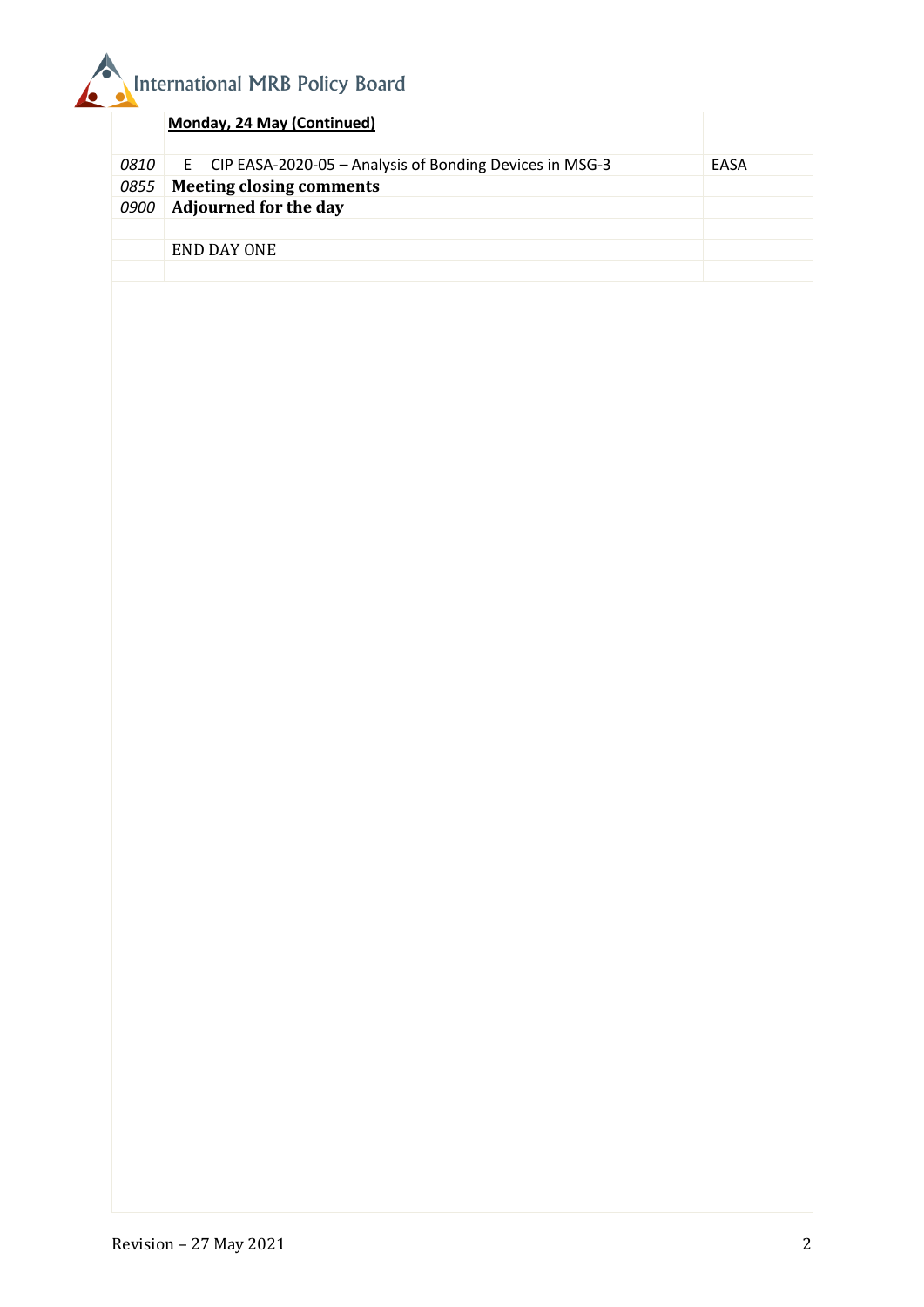

|             | Monday, 24 May (Continued)                                     |             |
|-------------|----------------------------------------------------------------|-------------|
|             | 0810 E CIP EASA-2020-05 - Analysis of Bonding Devices in MSG-3 | <b>FASA</b> |
| 0855        | <b>Meeting closing comments</b>                                |             |
| <i>0900</i> | <b>Adjourned for the day</b>                                   |             |
|             |                                                                |             |
|             | END DAY ONE                                                    |             |
|             |                                                                |             |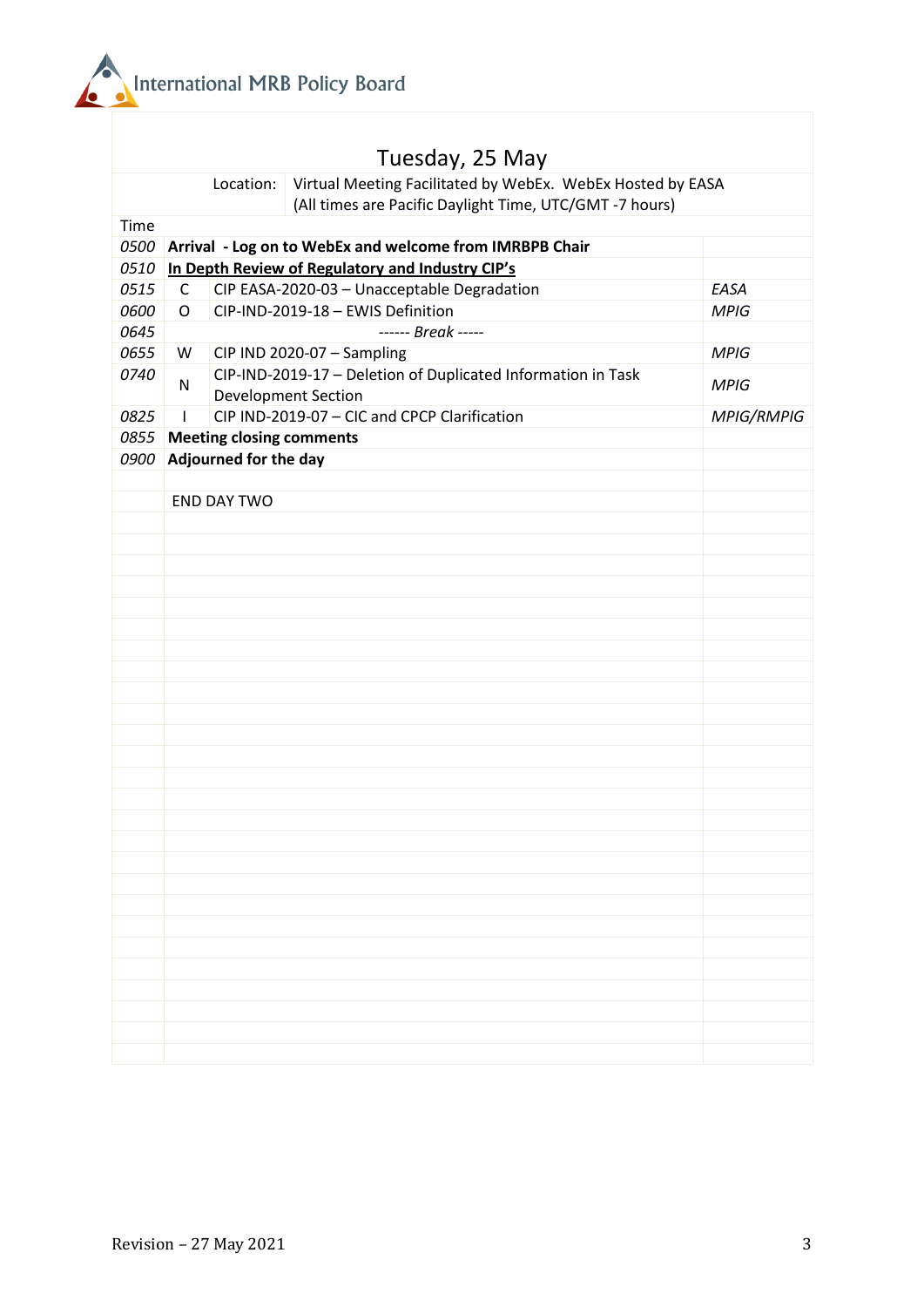

|      | Tuesday, 25 May                                                                                                                    |                   |  |  |  |
|------|------------------------------------------------------------------------------------------------------------------------------------|-------------------|--|--|--|
|      | Virtual Meeting Facilitated by WebEx. WebEx Hosted by EASA<br>Location:<br>(All times are Pacific Daylight Time, UTC/GMT -7 hours) |                   |  |  |  |
| Time |                                                                                                                                    |                   |  |  |  |
|      | 0500 Arrival - Log on to WebEx and welcome from IMRBPB Chair                                                                       |                   |  |  |  |
| 0510 | In Depth Review of Regulatory and Industry CIP's                                                                                   |                   |  |  |  |
| 0515 | CIP EASA-2020-03 - Unacceptable Degradation<br>$\mathsf{C}$                                                                        |                   |  |  |  |
| 0600 | CIP-IND-2019-18 - EWIS Definition<br>$\circ$                                                                                       |                   |  |  |  |
| 0645 | ------ Break -----                                                                                                                 | <b>MPIG</b>       |  |  |  |
| 0655 | CIP IND 2020-07 - Sampling<br>W<br><b>MPIG</b>                                                                                     |                   |  |  |  |
| 0740 | CIP-IND-2019-17 - Deletion of Duplicated Information in Task<br>$\mathsf{N}$<br><b>MPIG</b><br><b>Development Section</b>          |                   |  |  |  |
| 0825 | CIP IND-2019-07 - CIC and CPCP Clarification                                                                                       | <b>MPIG/RMPIG</b> |  |  |  |
| 0855 | <b>Meeting closing comments</b>                                                                                                    |                   |  |  |  |
| 0900 | Adjourned for the day                                                                                                              |                   |  |  |  |
|      |                                                                                                                                    |                   |  |  |  |
|      | <b>END DAY TWO</b>                                                                                                                 |                   |  |  |  |
|      |                                                                                                                                    |                   |  |  |  |
|      |                                                                                                                                    |                   |  |  |  |
|      |                                                                                                                                    |                   |  |  |  |
|      |                                                                                                                                    |                   |  |  |  |
|      |                                                                                                                                    |                   |  |  |  |
|      |                                                                                                                                    |                   |  |  |  |
|      |                                                                                                                                    |                   |  |  |  |
|      |                                                                                                                                    |                   |  |  |  |
|      |                                                                                                                                    |                   |  |  |  |
|      |                                                                                                                                    |                   |  |  |  |
|      |                                                                                                                                    |                   |  |  |  |
|      |                                                                                                                                    |                   |  |  |  |
|      |                                                                                                                                    |                   |  |  |  |
|      |                                                                                                                                    |                   |  |  |  |
|      |                                                                                                                                    |                   |  |  |  |
|      |                                                                                                                                    |                   |  |  |  |
|      |                                                                                                                                    |                   |  |  |  |
|      |                                                                                                                                    |                   |  |  |  |
|      |                                                                                                                                    |                   |  |  |  |
|      |                                                                                                                                    |                   |  |  |  |
|      |                                                                                                                                    |                   |  |  |  |
|      |                                                                                                                                    |                   |  |  |  |
|      |                                                                                                                                    |                   |  |  |  |
|      |                                                                                                                                    |                   |  |  |  |
|      |                                                                                                                                    |                   |  |  |  |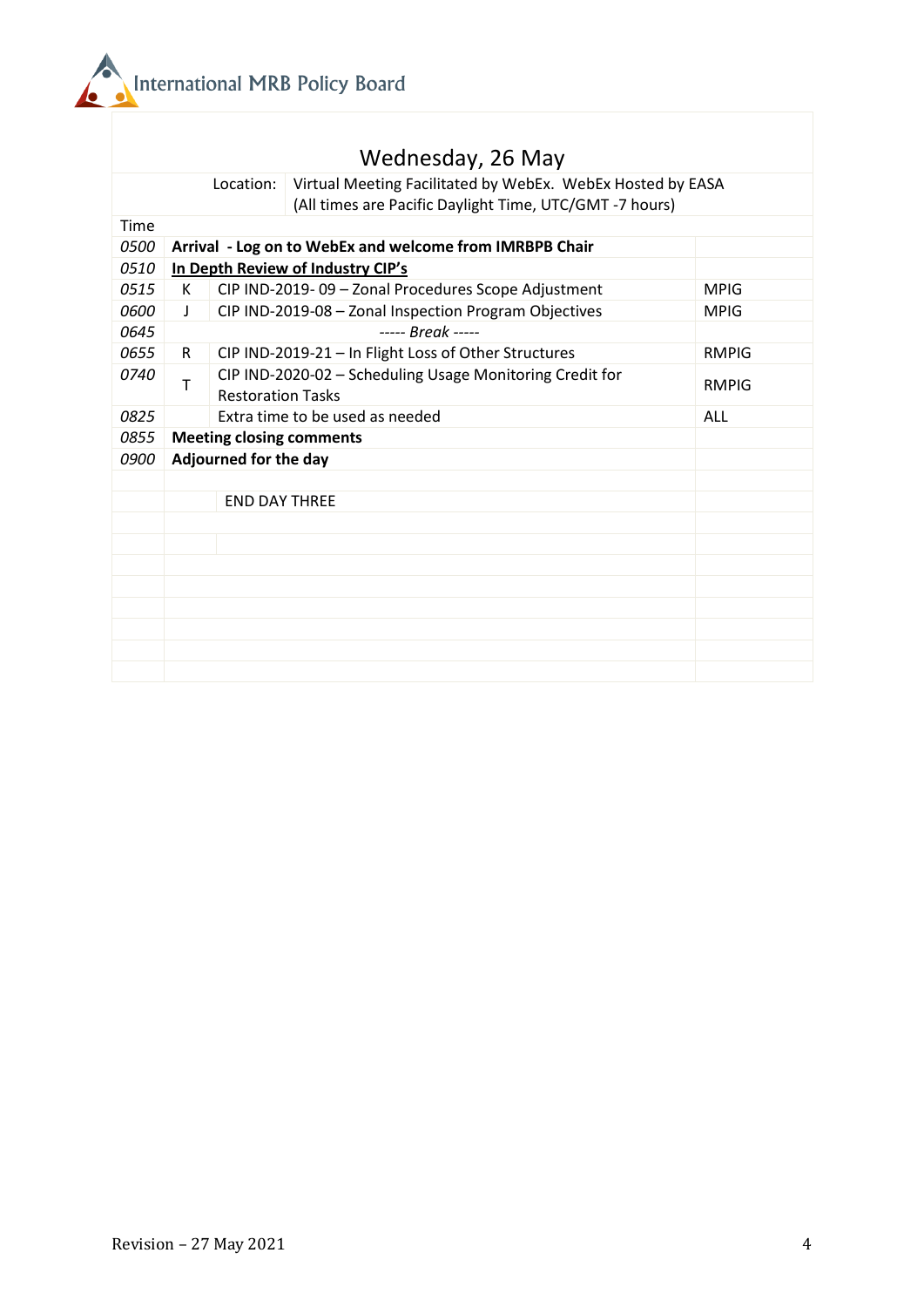

|             |                                                         | Wednesday, 26 May                                                                                                                  |  |  |  |
|-------------|---------------------------------------------------------|------------------------------------------------------------------------------------------------------------------------------------|--|--|--|
|             |                                                         | Virtual Meeting Facilitated by WebEx. WebEx Hosted by EASA<br>Location:<br>(All times are Pacific Daylight Time, UTC/GMT -7 hours) |  |  |  |
| Time        |                                                         |                                                                                                                                    |  |  |  |
| <i>0500</i> | Arrival - Log on to WebEx and welcome from IMRBPB Chair |                                                                                                                                    |  |  |  |
| 0510        |                                                         | In Depth Review of Industry CIP's                                                                                                  |  |  |  |
| 0515        | К                                                       | CIP IND-2019-09 - Zonal Procedures Scope Adjustment<br><b>MPIG</b>                                                                 |  |  |  |
| 0600        | $\perp$                                                 | CIP IND-2019-08 - Zonal Inspection Program Objectives<br><b>MPIG</b>                                                               |  |  |  |
| 0645        | $---$ Break $---$                                       |                                                                                                                                    |  |  |  |
| 0655        | R                                                       | CIP IND-2019-21 - In Flight Loss of Other Structures<br><b>RMPIG</b>                                                               |  |  |  |
| 0740        | T                                                       | CIP IND-2020-02 - Scheduling Usage Monitoring Credit for<br>RMPIG<br><b>Restoration Tasks</b>                                      |  |  |  |
| 0825        |                                                         | Extra time to be used as needed<br>ALL                                                                                             |  |  |  |
| 0855        | <b>Meeting closing comments</b>                         |                                                                                                                                    |  |  |  |
| 0900        | Adjourned for the day                                   |                                                                                                                                    |  |  |  |
|             |                                                         |                                                                                                                                    |  |  |  |
|             |                                                         | <b>END DAY THREE</b>                                                                                                               |  |  |  |
|             |                                                         |                                                                                                                                    |  |  |  |
|             |                                                         |                                                                                                                                    |  |  |  |
|             |                                                         |                                                                                                                                    |  |  |  |
|             |                                                         |                                                                                                                                    |  |  |  |
|             |                                                         |                                                                                                                                    |  |  |  |
|             |                                                         |                                                                                                                                    |  |  |  |
|             |                                                         |                                                                                                                                    |  |  |  |
|             |                                                         |                                                                                                                                    |  |  |  |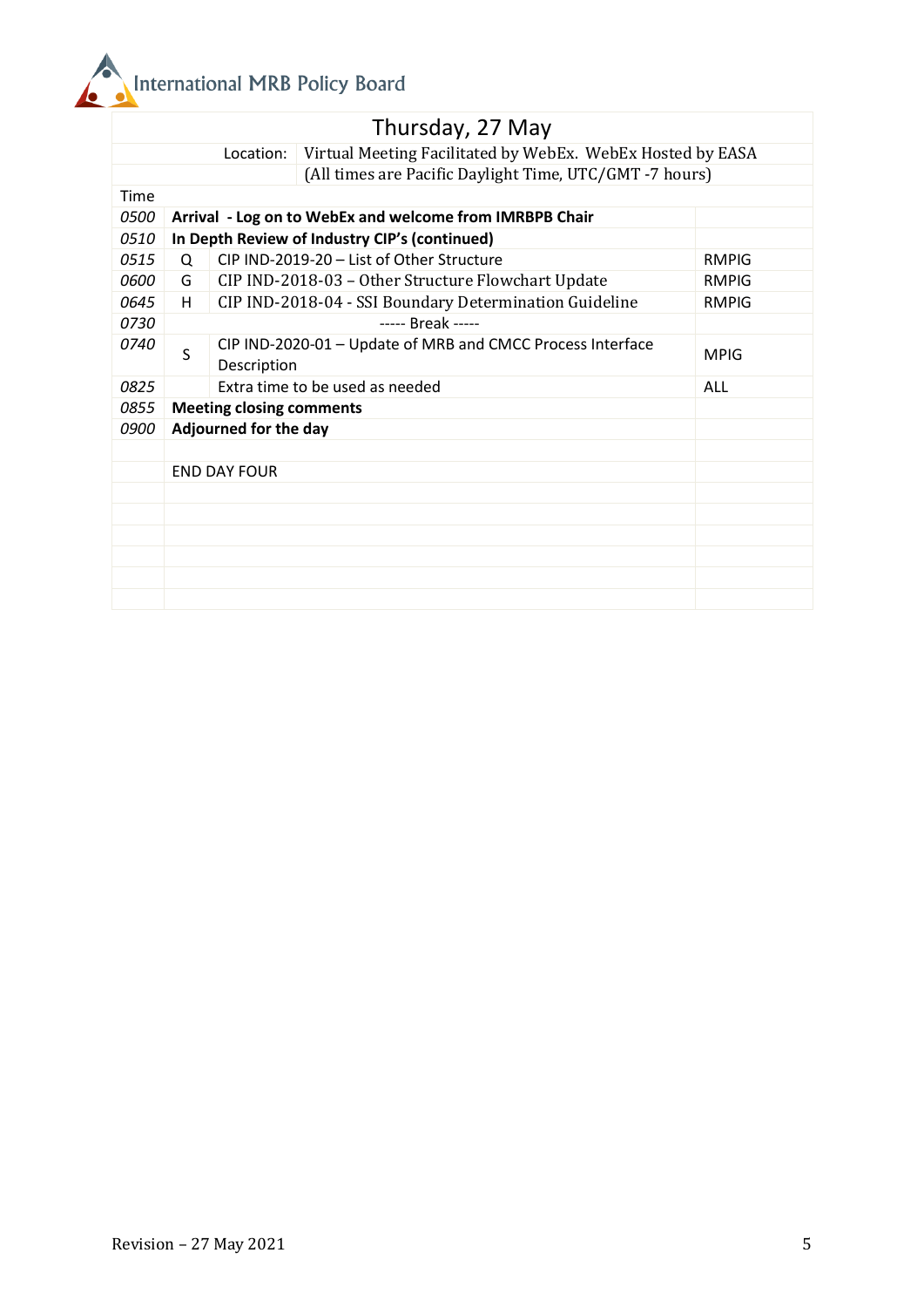

|                                                                         |                                                         |                                                        | Thursday, 27 May                                           |             |  |
|-------------------------------------------------------------------------|---------------------------------------------------------|--------------------------------------------------------|------------------------------------------------------------|-------------|--|
| Virtual Meeting Facilitated by WebEx. WebEx Hosted by EASA<br>Location: |                                                         |                                                        |                                                            |             |  |
| (All times are Pacific Daylight Time, UTC/GMT -7 hours)                 |                                                         |                                                        |                                                            |             |  |
| Time                                                                    |                                                         |                                                        |                                                            |             |  |
| <i>0500</i>                                                             | Arrival - Log on to WebEx and welcome from IMRBPB Chair |                                                        |                                                            |             |  |
| 0510                                                                    | In Depth Review of Industry CIP's (continued)           |                                                        |                                                            |             |  |
| 0515                                                                    | Q                                                       | CIP IND-2019-20 - List of Other Structure              | <b>RMPIG</b>                                               |             |  |
| 0600                                                                    | G                                                       | CIP IND-2018-03 - Other Structure Flowchart Update     | <b>RMPIG</b>                                               |             |  |
| 0645                                                                    | H                                                       | CIP IND-2018-04 - SSI Boundary Determination Guideline | <b>RMPIG</b>                                               |             |  |
| 0730                                                                    | ----- Break -----                                       |                                                        |                                                            |             |  |
| 0740                                                                    | S                                                       | Description                                            | CIP IND-2020-01 - Update of MRB and CMCC Process Interface | <b>MPIG</b> |  |
| 0825                                                                    |                                                         | Extra time to be used as needed<br>ALL                 |                                                            |             |  |
| 0855                                                                    | <b>Meeting closing comments</b>                         |                                                        |                                                            |             |  |
| 0900                                                                    | Adjourned for the day                                   |                                                        |                                                            |             |  |
|                                                                         |                                                         |                                                        |                                                            |             |  |
|                                                                         | <b>END DAY FOUR</b>                                     |                                                        |                                                            |             |  |
|                                                                         |                                                         |                                                        |                                                            |             |  |
|                                                                         |                                                         |                                                        |                                                            |             |  |
|                                                                         |                                                         |                                                        |                                                            |             |  |
|                                                                         |                                                         |                                                        |                                                            |             |  |
|                                                                         |                                                         |                                                        |                                                            |             |  |
|                                                                         |                                                         |                                                        |                                                            |             |  |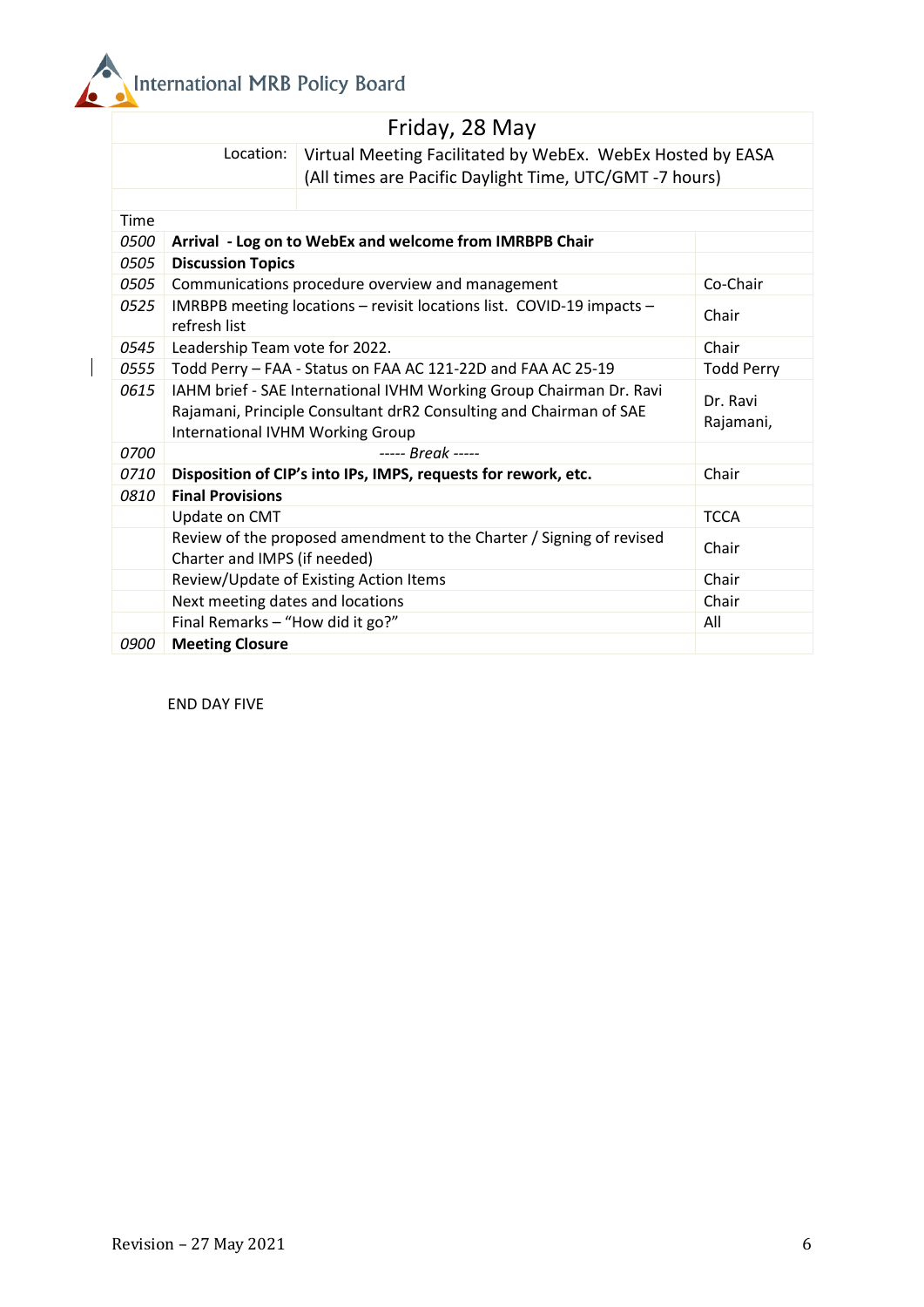

|             |                                                                                                                                                                               | Friday, 28 May                                                                                                        |             |
|-------------|-------------------------------------------------------------------------------------------------------------------------------------------------------------------------------|-----------------------------------------------------------------------------------------------------------------------|-------------|
|             | Location:                                                                                                                                                                     | Virtual Meeting Facilitated by WebEx. WebEx Hosted by EASA<br>(All times are Pacific Daylight Time, UTC/GMT -7 hours) |             |
|             |                                                                                                                                                                               |                                                                                                                       |             |
| Time        |                                                                                                                                                                               |                                                                                                                       |             |
| 0500        |                                                                                                                                                                               | Arrival - Log on to WebEx and welcome from IMRBPB Chair                                                               |             |
| 0505        | <b>Discussion Topics</b>                                                                                                                                                      |                                                                                                                       |             |
| 0505        | Communications procedure overview and management                                                                                                                              | Co-Chair                                                                                                              |             |
| 0525        | IMRBPB meeting locations - revisit locations list. COVID-19 impacts -<br>refresh list                                                                                         | Chair                                                                                                                 |             |
| 0545        | Leadership Team vote for 2022.                                                                                                                                                | Chair                                                                                                                 |             |
| 0555        | Todd Perry - FAA - Status on FAA AC 121-22D and FAA AC 25-19                                                                                                                  | <b>Todd Perry</b>                                                                                                     |             |
| 0615        | IAHM brief - SAE International IVHM Working Group Chairman Dr. Ravi<br>Rajamani, Principle Consultant drR2 Consulting and Chairman of SAE<br>International IVHM Working Group | Dr. Ravi<br>Rajamani,                                                                                                 |             |
| 0700        |                                                                                                                                                                               |                                                                                                                       |             |
| 0710        |                                                                                                                                                                               | Disposition of CIP's into IPs, IMPS, requests for rework, etc.                                                        | Chair       |
| 0810        | <b>Final Provisions</b>                                                                                                                                                       |                                                                                                                       |             |
|             | Update on CMT                                                                                                                                                                 |                                                                                                                       | <b>TCCA</b> |
|             | Charter and IMPS (if needed)                                                                                                                                                  | Review of the proposed amendment to the Charter / Signing of revised                                                  | Chair       |
|             |                                                                                                                                                                               | Review/Update of Existing Action Items                                                                                | Chair       |
|             | Next meeting dates and locations                                                                                                                                              |                                                                                                                       | Chair       |
|             | Final Remarks - "How did it go?"                                                                                                                                              |                                                                                                                       | All         |
| <i>0900</i> | <b>Meeting Closure</b>                                                                                                                                                        |                                                                                                                       |             |

END DAY FIVE

 $\begin{array}{c} \begin{array}{c} \end{array} \end{array}$